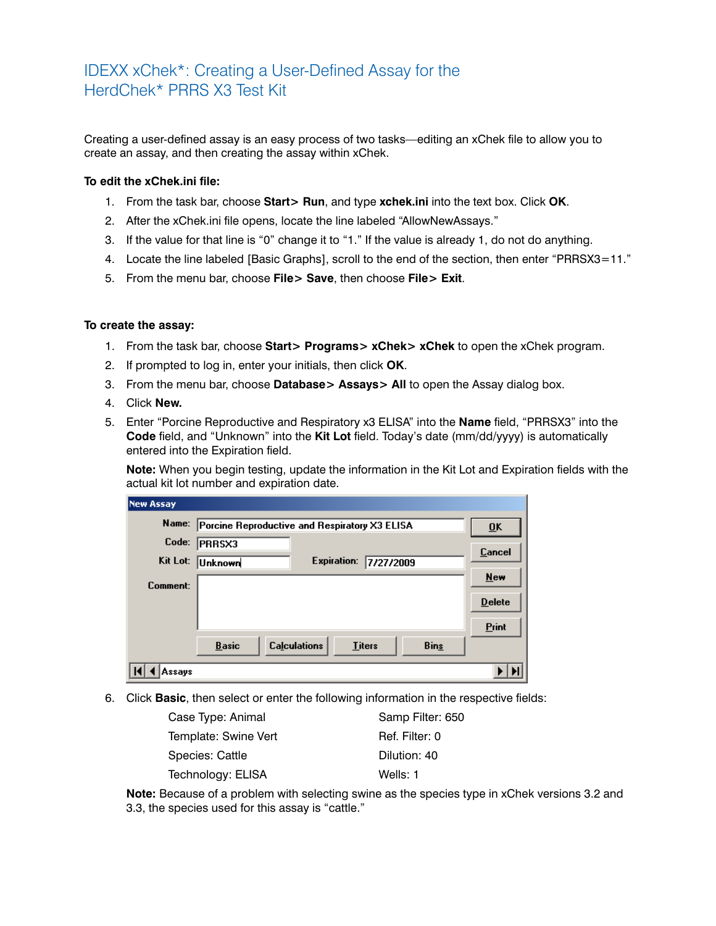## IDEXX xChek\*: Creating a User-Defined Assay for the HerdChek\* PRRS X3 Test Kit

Creating a user-defined assay is an easy process of two tasks—editing an xChek file to allow you to create an assay, and then creating the assay within xChek.

## **To edit the xChek.ini file:**

- 1. From the task bar, choose **Start> Run**, and type **xchek.ini** into the text box. Click **OK**.
- 2. After the xChek.ini file opens, locate the line labeled "AllowNewAssays."
- 3. If the value for that line is "0" change it to "1." If the value is already 1, do not do anything.
- 4. Locate the line labeled [Basic Graphs], scroll to the end of the section, then enter "PRRSX3=11."
- 5. From the menu bar, choose **File> Save**, then choose **File> Exit**.

## **To create the assay:**

- 1. From the task bar, choose **Start> Programs> xChek> xChek** to open the xChek program.
- 2. If prompted to log in, enter your initials, then click **OK**.
- 3. From the menu bar, choose **Database> Assays> All** to open the Assay dialog box.
- 4. Click **New.**
- 5. Enter "Porcine Reproductive and Respiratory x3 ELISA" into the **Name** field, "PRRSX3" into the **Code** field, and "Unknown" into the **Kit Lot** field. Today's date (mm/dd/yyyy) is automatically entered into the Expiration field.

**Note:** When you begin testing, update the information in the Kit Lot and Expiration fields with the actual kit lot number and expiration date.

| <b>New Assay</b> |                                               |                           |               |             |               |
|------------------|-----------------------------------------------|---------------------------|---------------|-------------|---------------|
| Name:            | Porcine Reproductive and Respiratory X3 ELISA | $\overline{\mathbf{0}}$ K |               |             |               |
| Code:            | <b>PRRSX3</b>                                 |                           |               |             | Cancel        |
| Kit Lot:         | Unknown                                       | <b>Expiration:</b>        | 7/27/2009     |             |               |
| Comment:         |                                               |                           |               |             | <b>New</b>    |
|                  |                                               |                           |               |             | <b>Delete</b> |
|                  |                                               |                           |               |             | <b>Print</b>  |
|                  | <b>Basic</b>                                  | <b>Calculations</b>       | <b>Titers</b> | <b>Bins</b> |               |
| Assavs           |                                               |                           |               |             |               |

6. Click **Basic**, then select or enter the following information in the respective fields:

| Case Type: Animal    | Samp Filter: 650 |
|----------------------|------------------|
| Template: Swine Vert | Ref. Filter: 0   |
| Species: Cattle      | Dilution: 40     |
| Technology: ELISA    | Wells: 1         |

**Note:** Because of a problem with selecting swine as the species type in xChek versions 3.2 and 3.3, the species used for this assay is "cattle."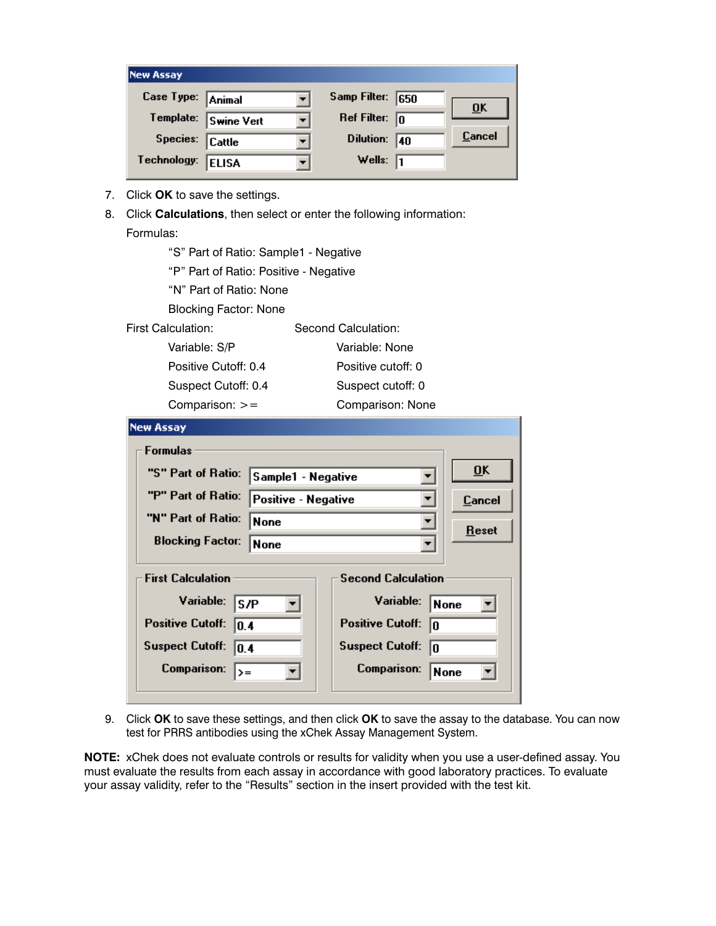| <b>New Assay</b>  |                      |                         |    |                           |
|-------------------|----------------------|-------------------------|----|---------------------------|
| Case Type: Animal |                      | Samp Filter: 650        |    | $\overline{\mathbf{0}}$ K |
|                   | Template: Swine Vert | Ref Filter: $\boxed{0}$ |    |                           |
| Species: Cattle   |                      | Dilution:               | 40 | Cancel                    |
| Technology:       | <b>ELISA</b>         | Wells: $\sqrt{1}$       |    |                           |

- 7. Click **OK** to save the settings.
- 8. Click **Calculations**, then select or enter the following information: Formulas:

| "S" Part of Ratio: Sample1 - Negative  |  |  |  |  |
|----------------------------------------|--|--|--|--|
| "P" Part of Ratio: Positive - Negative |  |  |  |  |
|                                        |  |  |  |  |
|                                        |  |  |  |  |
|                                        |  |  |  |  |
|                                        |  |  |  |  |
|                                        |  |  |  |  |
| Suspect cutoff: 0                      |  |  |  |  |
| Comparison: None                       |  |  |  |  |
|                                        |  |  |  |  |
|                                        |  |  |  |  |
|                                        |  |  |  |  |
|                                        |  |  |  |  |
|                                        |  |  |  |  |
| Positive cutoff: 0                     |  |  |  |  |

| Formulas                                                                                                                                           |                     |                                                                                                                               |                     |
|----------------------------------------------------------------------------------------------------------------------------------------------------|---------------------|-------------------------------------------------------------------------------------------------------------------------------|---------------------|
| "S" Part of Ratio:                                                                                                                                 | Sample1 - Negative  | $\overline{\mathbf{0}}$ K                                                                                                     |                     |
| "P" Part of Ratio:                                                                                                                                 | Positive - Negative | Cancel                                                                                                                        |                     |
| "N" Part of Ratio:                                                                                                                                 | None                |                                                                                                                               | Reset               |
| <b>Blocking Factor:</b><br>None                                                                                                                    |                     |                                                                                                                               |                     |
| <b>First Calculation</b><br>Variable:<br>ls/P<br><b>Positive Cutoff:</b><br> 0.4 <br><b>Suspect Cutoff:</b><br> 0.4 <br>Comparison:<br>$\rangle =$ |                     | <b>Second Calculation</b><br>Variable:<br><b>Positive Cutoff:</b><br>In<br><b>Suspect Cutoff:</b><br>10<br><b>Comparison:</b> | <b>None</b><br>None |

9. Click **OK** to save these settings, and then click **OK** to save the assay to the database. You can now test for PRRS antibodies using the xChek Assay Management System.

**NOTE:** xChek does not evaluate controls or results for validity when you use a user-defined assay. You must evaluate the results from each assay in accordance with good laboratory practices. To evaluate your assay validity, refer to the "Results" section in the insert provided with the test kit.